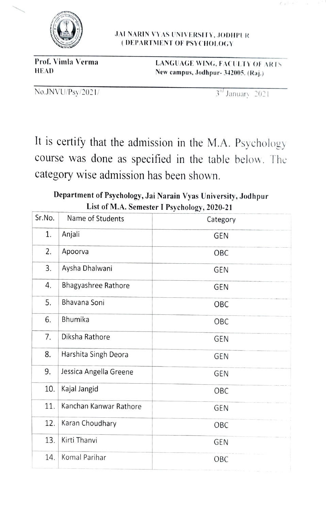

JAI NARIN VYAS UNIVERSITY, JODHIPUR DEPARTMENT OF PSYCHOLOY

Prof. Vimla Verma<br>
HEAD Mew campus Jodhnur, 342005 (Pai) New campus, Jodhpur- 342005. (Raj.)

 $\text{No.JNVU/Ps}y/2021/$   $3^{rd}$  January 2021

 $C$  is the  $E$ 

It is certify that the admission in the M.A. Psychology course was done as specified in the table below. The category wise admission has been shown.

Department of Psychology, Jai Narain Vyas University, Jodhpur List of M.A. Semester I Psychology, 2020-21

| Sr.No. | Name of Students       | $\cdots$ $\cdots$ $\cdots$<br>Category |
|--------|------------------------|----------------------------------------|
| 1.     | Anjali                 | <b>GEN</b>                             |
| 2.     | Apoorva                | OBC                                    |
| 3.     | Aysha Dhalwani         | <b>GEN</b>                             |
| 4.     | Bhagyashree Rathore    | <b>GEN</b>                             |
| 5.     | Bhavana Soni           | OBC                                    |
| 6.     | <b>Bhumika</b>         | OBC                                    |
| 7.     | Diksha Rathore         | <b>GEN</b>                             |
| 8.     | Harshita Singh Deora   | <b>GEN</b>                             |
| 9.     | Jessica Angella Greene | <b>GEN</b>                             |
| 10.    | Kajal Jangid           | OBC                                    |
| 11.    | Kanchan Kanwar Rathore | <b>GEN</b>                             |
| 12.    | Karan Choudhary        | OBC                                    |
| 13.    | Kirti Thanvi           | <b>GEN</b>                             |
| 14.    | Komal Parihar          | OBC                                    |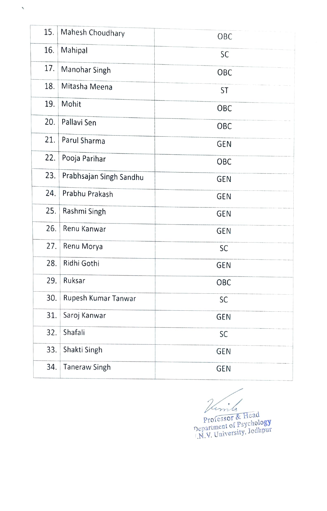| 15. | Mahesh Choudhary        | OBC        |
|-----|-------------------------|------------|
| 16. | Mahipal                 | SC         |
| 17. | Manohar Singh           | OBC        |
| 18. | Mitasha Meena           | ST         |
| 19. | Mohit                   | OBC        |
| 20. | Pallavi Sen             | OBC        |
| 21. | Parul Sharma            | <b>GEN</b> |
| 22. | Pooja Parihar           | OBC        |
| 23. | Prabhsajan Singh Sandhu | GEN        |
| 24. | Prabhu Prakash          | <b>GEN</b> |
| 25. | Rashmi Singh            | <b>GEN</b> |
| 26. | Renu Kanwar             | <b>GEN</b> |
| 27. | Renu Morya              | SC         |
| 28. | Ridhi Gothi             | <b>GEN</b> |
| 29. | Ruksar                  | OBC        |
| 30. | Rupesh Kumar Tanwar     | SC         |
| 31. | Saroj Kanwar            | GEN        |
| 32. | Shafali                 | SC         |
| 33. | Shakti Singh            | <b>GEN</b> |
| 34. | <b>Taneraw Singh</b>    | <b>GEN</b> |

 $\checkmark$ 

 $\overline{1}$ 

Professor & Head Professor of Psychology epartment of Library, Jodhpur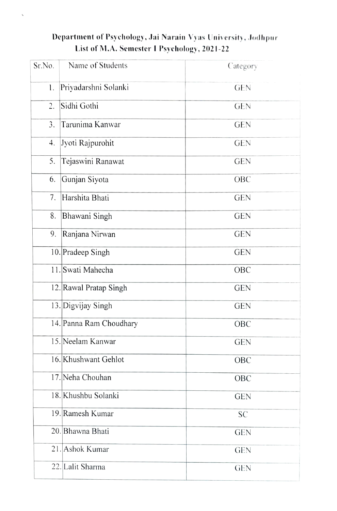## Department of Psychology, Jai Narain Vyas University, Jodhpur List of M.A. Semester I Psychology, 2021-22

| Sr.No. | Name of Students        | Category   |
|--------|-------------------------|------------|
| 1.     | Priyadarshni Solanki    | <b>GEN</b> |
| 2.     | Sidhi Gothi             | <b>GEN</b> |
| 3.     | Tarunima Kanwar         | <b>GEN</b> |
| 4.     | Jyoti Rajpurohit        | <b>GEN</b> |
| 5.     | Tejaswini Ranawat       | <b>GEN</b> |
| 6.     | Gunjan Siyota           | OBC        |
| 7.     | Harshita Bhati          | <b>GEN</b> |
| 8.     | Bhawani Singh           | <b>GEN</b> |
| 9.     | Ranjana Nirwan          | <b>GEN</b> |
|        | 10. Pradeep Singh       | <b>GEN</b> |
|        | 11. Swati Mahecha       | OBC        |
|        | 12. Rawal Pratap Singh  | <b>GEN</b> |
|        | 13. Digvijay Singh      | <b>GEN</b> |
|        | 14. Panna Ram Choudhary | OBC        |
|        | 15. Neelam Kanwar       | <b>GEN</b> |
|        | 16. Khushwant Gehlot    | OBC        |
|        | 17. Neha Chouhan        | OBC        |
|        | 18. Khushbu Solanki     | <b>GEN</b> |
|        | 19. Ramesh Kumar        | <b>SC</b>  |
|        | 20. Bhawna Bhati        | <b>GEN</b> |
|        | 21. Ashok Kumar         | <b>GEN</b> |
|        | 22. Lalit Sharma        | <b>GEN</b> |